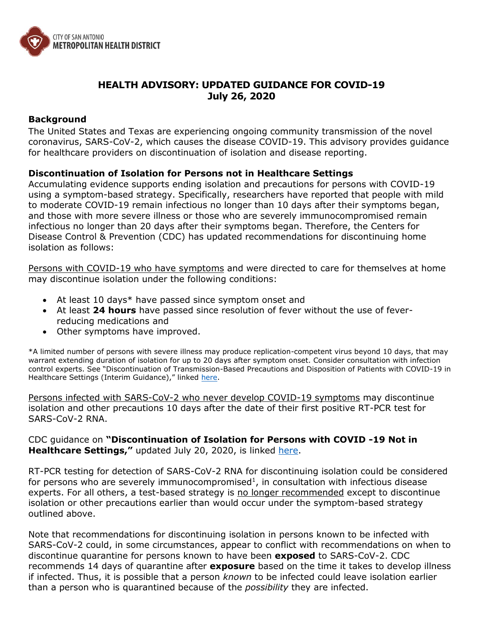

## **HEALTH ADVISORY: UPDATED GUIDANCE FOR COVID-19 July 26, 2020**

## **Background**

The United States and Texas are experiencing ongoing community transmission of the novel coronavirus, SARS-CoV-2, which causes the disease COVID-19. This advisory provides guidance for healthcare providers on discontinuation of isolation and disease reporting.

## **Discontinuation of Isolation for Persons not in Healthcare Settings**

Accumulating evidence supports ending isolation and precautions for persons with COVID-19 using a symptom-based strategy. Specifically, researchers have reported that people with mild to moderate COVID-19 remain infectious no longer than 10 days after their symptoms began, and those with more severe illness or those who are severely immunocompromised remain infectious no longer than 20 days after their symptoms began. Therefore, the Centers for Disease Control & Prevention (CDC) has updated recommendations for discontinuing home isolation as follows:

Persons with COVID-19 who have symptoms and were directed to care for themselves at home may discontinue isolation under the following conditions:

- At least 10 days\* have passed since symptom onset and
- At least **24 hours** have passed since resolution of fever without the use of feverreducing medications and
- Other symptoms have improved.

\*A limited number of persons with severe illness may produce replication-competent virus beyond 10 days, that may warrant extending duration of isolation for up to 20 days after symptom onset. Consider consultation with infection control experts. See "Discontinuation of Transmission-Based Precautions and Disposition of Patients with COVID-19 in Healthcare Settings (Interim Guidance)," linked [here.](https://www.cdc.gov/coronavirus/2019-ncov/hcp/disposition-hospitalized-patients.html)

Persons infected with SARS-CoV-2 who never develop COVID-19 symptoms may discontinue isolation and other precautions 10 days after the date of their first positive RT-PCR test for SARS-CoV-2 RNA.

CDC guidance on **"Discontinuation of Isolation for Persons with COVID -19 Not in Healthcare Settings,"** updated July 20, 2020, is linked [here.](https://www.cdc.gov/coronavirus/2019-ncov/hcp/disposition-in-home-patients.html)

RT-PCR testing for detection of SARS-CoV-2 RNA for discontinuing isolation could be considered for persons who are severely immunocompromised<sup>1</sup>, in consultation with infectious disease experts. For all others, a test-based strategy is no longer recommended except to discontinue isolation or other precautions earlier than would occur under the symptom-based strategy outlined above.

Note that recommendations for discontinuing isolation in persons known to be infected with SARS-CoV-2 could, in some circumstances, appear to conflict with recommendations on when to discontinue quarantine for persons known to have been **exposed** to SARS-CoV-2. CDC recommends 14 days of quarantine after **exposure** based on the time it takes to develop illness if infected. Thus, it is possible that a person *known* to be infected could leave isolation earlier than a person who is quarantined because of the *possibility* they are infected.